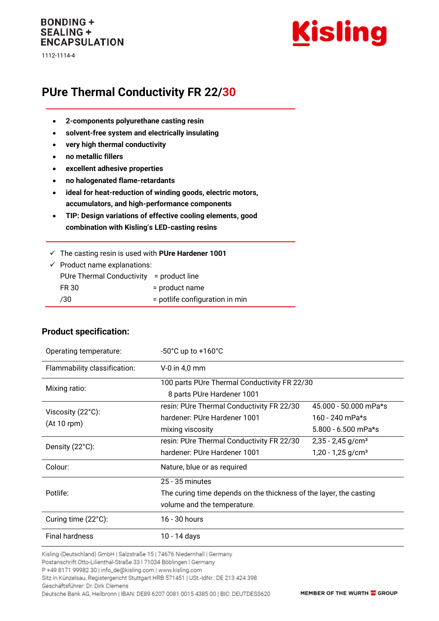### **BONDING + SEALING + ENCAPSULATION**

1112-1114-4



# **PUre Thermal Conductivity FR 22/30**

- **2-components polyurethane casting resin**
- **solvent-free system and electrically insulating**
- **very high thermal conductivity**
- **no metallic fillers**
- **excellent adhesive properties**
- **no halogenated flame-retardants**
- **ideal for heat-reduction of winding goods, electric motors, accumulators, and high-performance components**
- **TIP: Design variations of effective cooling elements, good combination with Kisling's LED-casting resins**
- ✓ The casting resin is used with **PUre Hardener 1001**

| $\checkmark$ Product name explanations:  |                                |  |
|------------------------------------------|--------------------------------|--|
| PUre Thermal Conductivity = product line |                                |  |
| FR 30                                    | = product name                 |  |
| 730                                      | = potlife configuration in min |  |

| Operating temperature:                     | $-50^{\circ}$ C up to $+160^{\circ}$ C                                                                                 |                                                                                             |  |
|--------------------------------------------|------------------------------------------------------------------------------------------------------------------------|---------------------------------------------------------------------------------------------|--|
| Flammability classification:               | $V-0$ in 4,0 mm                                                                                                        |                                                                                             |  |
| Mixing ratio:                              | 100 parts PUre Thermal Conductivity FR 22/30<br>8 parts PUre Hardener 1001                                             |                                                                                             |  |
| Viscosity $(22^{\circ}C)$ :<br>(At 10 rpm) | resin: PUre Thermal Conductivity FR 22/30<br>hardener: PUre Hardener 1001                                              | 45.000 - 50.000 mPa*s<br>160 - 240 mPa*s                                                    |  |
| Density (22°C):                            | mixing viscosity<br>resin: PUre Thermal Conductivity FR 22/30<br>hardener: PUre Hardener 1001                          | $5.800 - 6.500$ mPa*s<br>$2,35 - 2,45$ g/cm <sup>3</sup><br>$1,20 - 1,25$ g/cm <sup>3</sup> |  |
| Colour:                                    | Nature, blue or as required                                                                                            |                                                                                             |  |
| Potlife:                                   | $25 - 35$ minutes<br>The curing time depends on the thickness of the layer, the casting<br>volume and the temperature. |                                                                                             |  |
| Curing time (22°C):                        | 16 - 30 hours                                                                                                          |                                                                                             |  |
| <b>Final hardness</b>                      | 10 - 14 days                                                                                                           |                                                                                             |  |

**Product specification:**

Kisling (Deutschland) GmbH | Salzstraße 15 | 74676 Niedernhall | Germany

Postanschrift Otto-Lilienthal-Straße 33 | 71034 Böblingen | Germany

P +49 8171 99982 30 | info\_de@kisling.com | www.kisling.com

Sitz in Künzelsau, Registergericht Stuttgart HRB 571451 | USt.-IdNr.: DE 213 424 398

Geschäftsführer: Dr. Dirk Clemens Deutsche Bank AG, Heilbronn | IBAN: DE89 6207 0081 0015 4385 00 | BIC: DEUTDESS620